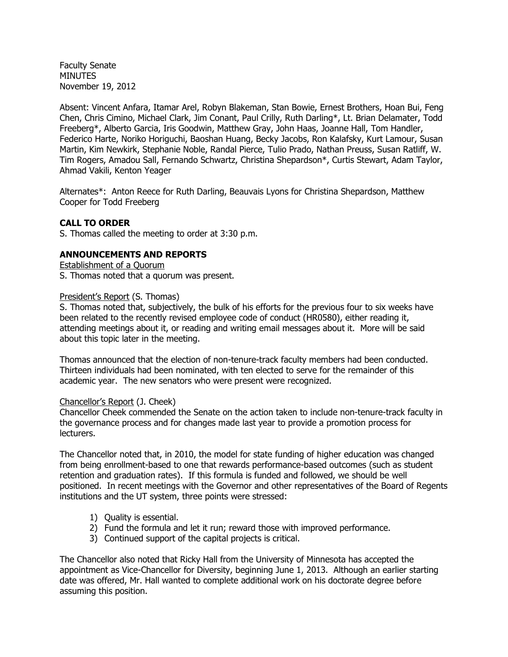Faculty Senate **MINUTES** November 19, 2012

Absent: Vincent Anfara, Itamar Arel, Robyn Blakeman, Stan Bowie, Ernest Brothers, Hoan Bui, Feng Chen, Chris Cimino, Michael Clark, Jim Conant, Paul Crilly, Ruth Darling\*, Lt. Brian Delamater, Todd Freeberg\*, Alberto Garcia, Iris Goodwin, Matthew Gray, John Haas, Joanne Hall, Tom Handler, Federico Harte, Noriko Horiguchi, Baoshan Huang, Becky Jacobs, Ron Kalafsky, Kurt Lamour, Susan Martin, Kim Newkirk, Stephanie Noble, Randal Pierce, Tulio Prado, Nathan Preuss, Susan Ratliff, W. Tim Rogers, Amadou Sall, Fernando Schwartz, Christina Shepardson\*, Curtis Stewart, Adam Taylor, Ahmad Vakili, Kenton Yeager

Alternates\*: Anton Reece for Ruth Darling, Beauvais Lyons for Christina Shepardson, Matthew Cooper for Todd Freeberg

## **CALL TO ORDER**

S. Thomas called the meeting to order at 3:30 p.m.

### **ANNOUNCEMENTS AND REPORTS**

Establishment of a Quorum

S. Thomas noted that a quorum was present.

#### President's Report (S. Thomas)

S. Thomas noted that, subjectively, the bulk of his efforts for the previous four to six weeks have been related to the recently revised employee code of conduct (HR0580), either reading it, attending meetings about it, or reading and writing email messages about it. More will be said about this topic later in the meeting.

Thomas announced that the election of non-tenure-track faculty members had been conducted. Thirteen individuals had been nominated, with ten elected to serve for the remainder of this academic year. The new senators who were present were recognized.

### Chancellor's Report (J. Cheek)

Chancellor Cheek commended the Senate on the action taken to include non-tenure-track faculty in the governance process and for changes made last year to provide a promotion process for lecturers.

The Chancellor noted that, in 2010, the model for state funding of higher education was changed from being enrollment-based to one that rewards performance-based outcomes (such as student retention and graduation rates). If this formula is funded and followed, we should be well positioned. In recent meetings with the Governor and other representatives of the Board of Regents institutions and the UT system, three points were stressed:

- 1) Quality is essential.
- 2) Fund the formula and let it run; reward those with improved performance.
- 3) Continued support of the capital projects is critical.

The Chancellor also noted that Ricky Hall from the University of Minnesota has accepted the appointment as Vice-Chancellor for Diversity, beginning June 1, 2013. Although an earlier starting date was offered, Mr. Hall wanted to complete additional work on his doctorate degree before assuming this position.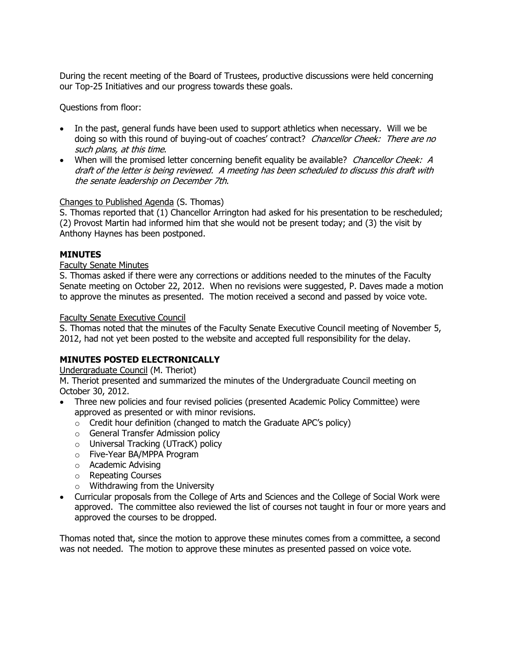During the recent meeting of the Board of Trustees, productive discussions were held concerning our Top-25 Initiatives and our progress towards these goals.

Questions from floor:

- In the past, general funds have been used to support athletics when necessary. Will we be doing so with this round of buying-out of coaches' contract? Chancellor Cheek: There are no such plans, at this time.
- When will the promised letter concerning benefit equality be available? Chancellor Cheek: A draft of the letter is being reviewed. A meeting has been scheduled to discuss this draft with the senate leadership on December 7th.

## Changes to Published Agenda (S. Thomas)

S. Thomas reported that (1) Chancellor Arrington had asked for his presentation to be rescheduled; (2) Provost Martin had informed him that she would not be present today; and (3) the visit by Anthony Haynes has been postponed.

## **MINUTES**

## Faculty Senate Minutes

S. Thomas asked if there were any corrections or additions needed to the minutes of the Faculty Senate meeting on October 22, 2012. When no revisions were suggested, P. Daves made a motion to approve the minutes as presented. The motion received a second and passed by voice vote.

### Faculty Senate Executive Council

S. Thomas noted that the minutes of the Faculty Senate Executive Council meeting of November 5, 2012, had not yet been posted to the website and accepted full responsibility for the delay.

## **MINUTES POSTED ELECTRONICALLY**

Undergraduate Council (M. Theriot)

M. Theriot presented and summarized the minutes of the Undergraduate Council meeting on October 30, 2012.

- Three new policies and four revised policies (presented Academic Policy Committee) were approved as presented or with minor revisions.
	- $\circ$  Credit hour definition (changed to match the Graduate APC's policy)
	- o General Transfer Admission policy
	- o Universal Tracking (UTracK) policy
	- o Five-Year BA/MPPA Program
	- o Academic Advising
	- o Repeating Courses
	- o Withdrawing from the University
- Curricular proposals from the College of Arts and Sciences and the College of Social Work were approved. The committee also reviewed the list of courses not taught in four or more years and approved the courses to be dropped.

Thomas noted that, since the motion to approve these minutes comes from a committee, a second was not needed. The motion to approve these minutes as presented passed on voice vote.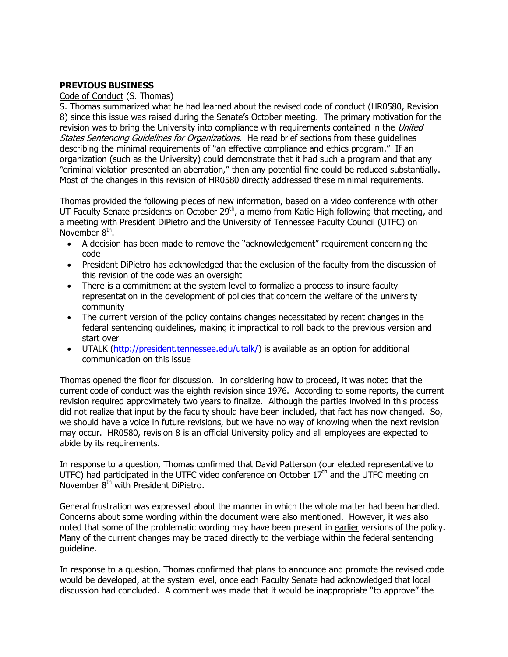# **PREVIOUS BUSINESS**

### Code of Conduct (S. Thomas)

S. Thomas summarized what he had learned about the revised code of conduct (HR0580, Revision 8) since this issue was raised during the Senate's October meeting. The primary motivation for the revision was to bring the University into compliance with requirements contained in the United States Sentencing Guidelines for Organizations. He read brief sections from these quidelines describing the minimal requirements of "an effective compliance and ethics program." If an organization (such as the University) could demonstrate that it had such a program and that any "criminal violation presented an aberration," then any potential fine could be reduced substantially. Most of the changes in this revision of HR0580 directly addressed these minimal requirements.

Thomas provided the following pieces of new information, based on a video conference with other UT Faculty Senate presidents on October  $29<sup>th</sup>$ , a memo from Katie High following that meeting, and a meeting with President DiPietro and the University of Tennessee Faculty Council (UTFC) on November 8<sup>th</sup>.

- A decision has been made to remove the "acknowledgement" requirement concerning the code
- President DiPietro has acknowledged that the exclusion of the faculty from the discussion of this revision of the code was an oversight
- There is a commitment at the system level to formalize a process to insure faculty representation in the development of policies that concern the welfare of the university community
- The current version of the policy contains changes necessitated by recent changes in the federal sentencing guidelines, making it impractical to roll back to the previous version and start over
- UTALK [\(http://president.tennessee.edu/utalk/\)](http://president.tennessee.edu/utalk/) is available as an option for additional communication on this issue

Thomas opened the floor for discussion. In considering how to proceed, it was noted that the current code of conduct was the eighth revision since 1976. According to some reports, the current revision required approximately two years to finalize. Although the parties involved in this process did not realize that input by the faculty should have been included, that fact has now changed. So, we should have a voice in future revisions, but we have no way of knowing when the next revision may occur. HR0580, revision 8 is an official University policy and all employees are expected to abide by its requirements.

In response to a question, Thomas confirmed that David Patterson (our elected representative to UTFC) had participated in the UTFC video conference on October  $17<sup>th</sup>$  and the UTFC meeting on November 8th with President DiPietro.

General frustration was expressed about the manner in which the whole matter had been handled. Concerns about some wording within the document were also mentioned. However, it was also noted that some of the problematic wording may have been present in earlier versions of the policy. Many of the current changes may be traced directly to the verbiage within the federal sentencing guideline.

In response to a question, Thomas confirmed that plans to announce and promote the revised code would be developed, at the system level, once each Faculty Senate had acknowledged that local discussion had concluded. A comment was made that it would be inappropriate "to approve" the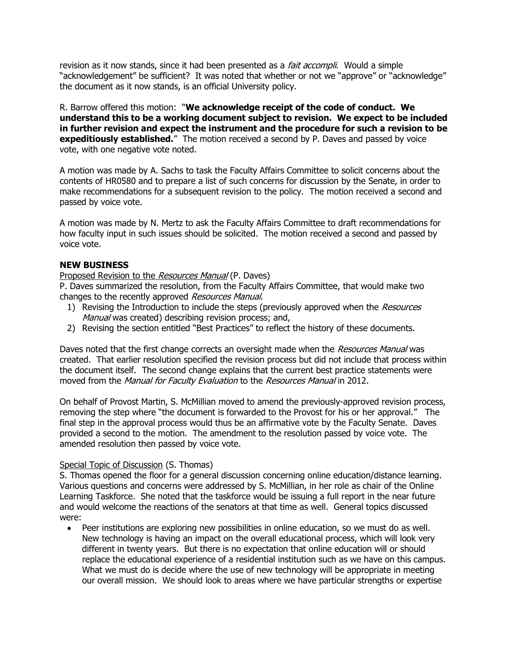revision as it now stands, since it had been presented as a *fait accompli*. Would a simple "acknowledgement" be sufficient? It was noted that whether or not we "approve" or "acknowledge" the document as it now stands, is an official University policy.

R. Barrow offered this motion: "**We acknowledge receipt of the code of conduct. We understand this to be a working document subject to revision. We expect to be included in further revision and expect the instrument and the procedure for such a revision to be expeditiously established.**" The motion received a second by P. Daves and passed by voice vote, with one negative vote noted.

A motion was made by A. Sachs to task the Faculty Affairs Committee to solicit concerns about the contents of HR0580 and to prepare a list of such concerns for discussion by the Senate, in order to make recommendations for a subsequent revision to the policy. The motion received a second and passed by voice vote.

A motion was made by N. Mertz to ask the Faculty Affairs Committee to draft recommendations for how faculty input in such issues should be solicited. The motion received a second and passed by voice vote.

## **NEW BUSINESS**

### Proposed Revision to the *Resources Manual* (P. Daves)

P. Daves summarized the resolution, from the Faculty Affairs Committee, that would make two changes to the recently approved Resources Manual.

- 1) Revising the Introduction to include the steps (previously approved when the Resources Manual was created) describing revision process; and,
- 2) Revising the section entitled "Best Practices" to reflect the history of these documents.

Daves noted that the first change corrects an oversight made when the Resources Manual was created. That earlier resolution specified the revision process but did not include that process within the document itself. The second change explains that the current best practice statements were moved from the *Manual for Faculty Evaluation* to the *Resources Manual* in 2012.

On behalf of Provost Martin, S. McMillian moved to amend the previously-approved revision process, removing the step where "the document is forwarded to the Provost for his or her approval." The final step in the approval process would thus be an affirmative vote by the Faculty Senate. Daves provided a second to the motion. The amendment to the resolution passed by voice vote. The amended resolution then passed by voice vote.

### Special Topic of Discussion (S. Thomas)

S. Thomas opened the floor for a general discussion concerning online education/distance learning. Various questions and concerns were addressed by S. McMillian, in her role as chair of the Online Learning Taskforce. She noted that the taskforce would be issuing a full report in the near future and would welcome the reactions of the senators at that time as well. General topics discussed were:

 Peer institutions are exploring new possibilities in online education, so we must do as well. New technology is having an impact on the overall educational process, which will look very different in twenty years. But there is no expectation that online education will or should replace the educational experience of a residential institution such as we have on this campus. What we must do is decide where the use of new technology will be appropriate in meeting our overall mission. We should look to areas where we have particular strengths or expertise